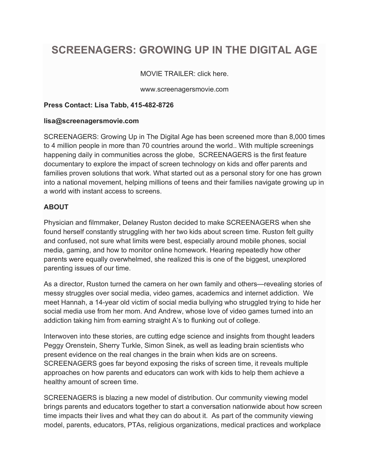# **SCREENAGERS: GROWING UP IN THE DIGITAL AGE**

## MOVIE TRAILER: click here.

www.screenagersmovie.com

## **Press Contact: Lisa Tabb, 415-482-8726**

#### **lisa@screenagersmovie.com**

SCREENAGERS: Growing Up in The Digital Age has been screened more than 8,000 times to 4 million people in more than 70 countries around the world.. With multiple screenings happening daily in communities across the globe, SCREENAGERS is the first feature documentary to explore the impact of screen technology on kids and offer parents and families proven solutions that work. What started out as a personal story for one has grown into a national movement, helping millions of teens and their families navigate growing up in a world with instant access to screens.

## **ABOUT**

Physician and filmmaker, Delaney Ruston decided to make SCREENAGERS when she found herself constantly struggling with her two kids about screen time. Ruston felt guilty and confused, not sure what limits were best, especially around mobile phones, social media, gaming, and how to monitor online homework. Hearing repeatedly how other parents were equally overwhelmed, she realized this is one of the biggest, unexplored parenting issues of our time.

As a director, Ruston turned the camera on her own family and others—revealing stories of messy struggles over social media, video games, academics and internet addiction. We meet Hannah, a 14-year old victim of social media bullying who struggled trying to hide her social media use from her mom. And Andrew, whose love of video games turned into an addiction taking him from earning straight A's to flunking out of college.

Interwoven into these stories, are cutting edge science and insights from thought leaders Peggy Orenstein, Sherry Turkle, Simon Sinek, as well as leading brain scientists who present evidence on the real changes in the brain when kids are on screens. SCREENAGERS goes far beyond exposing the risks of screen time, it reveals multiple approaches on how parents and educators can work with kids to help them achieve a healthy amount of screen time.

SCREENAGERS is blazing a new model of distribution. Our community viewing model brings parents and educators together to start a conversation nationwide about how screen time impacts their lives and what they can do about it. As part of the community viewing model, parents, educators, PTAs, religious organizations, medical practices and workplace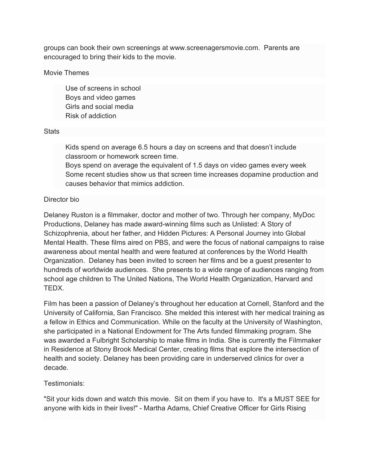groups can book their own screenings at www.screenagersmovie.com. Parents are encouraged to bring their kids to the movie.

#### Movie Themes

 Use of screens in school Boys and video games Girls and social media Risk of addiction

#### **Stats**

 Kids spend on average 6.5 hours a day on screens and that doesn't include classroom or homework screen time.

 Boys spend on average the equivalent of 1.5 days on video games every week Some recent studies show us that screen time increases dopamine production and causes behavior that mimics addiction.

## Director bio

Delaney Ruston is a filmmaker, doctor and mother of two. Through her company, MyDoc Productions, Delaney has made award-winning films such as Unlisted: A Story of Schizophrenia, about her father, and Hidden Pictures: A Personal Journey into Global Mental Health. These films aired on PBS, and were the focus of national campaigns to raise awareness about mental health and were featured at conferences by the World Health Organization. Delaney has been invited to screen her films and be a guest presenter to hundreds of worldwide audiences. She presents to a wide range of audiences ranging from school age children to The United Nations, The World Health Organization, Harvard and TEDX.

Film has been a passion of Delaney's throughout her education at Cornell, Stanford and the University of California, San Francisco. She melded this interest with her medical training as a fellow in Ethics and Communication. While on the faculty at the University of Washington, she participated in a National Endowment for The Arts funded filmmaking program. She was awarded a Fulbright Scholarship to make films in India. She is currently the Filmmaker in Residence at Stony Brook Medical Center, creating films that explore the intersection of health and society. Delaney has been providing care in underserved clinics for over a decade.

## Testimonials:

"Sit your kids down and watch this movie. Sit on them if you have to. It's a MUST SEE for anyone with kids in their lives!" - Martha Adams, Chief Creative Officer for Girls Rising